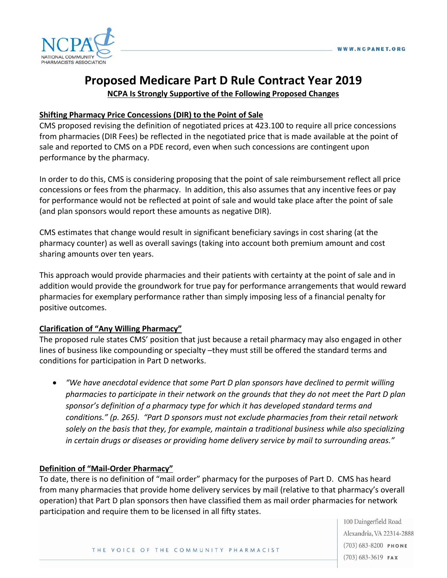

# **Proposed Medicare Part D Rule Contract Year 2019 NCPA Is Strongly Supportive of the Following Proposed Changes**

#### **Shifting Pharmacy Price Concessions (DIR) to the Point of Sale**

CMS proposed revising the definition of negotiated prices at 423.100 to require all price concessions from pharmacies (DIR Fees) be reflected in the negotiated price that is made available at the point of sale and reported to CMS on a PDE record, even when such concessions are contingent upon performance by the pharmacy.

In order to do this, CMS is considering proposing that the point of sale reimbursement reflect all price concessions or fees from the pharmacy. In addition, this also assumes that any incentive fees or pay for performance would not be reflected at point of sale and would take place after the point of sale (and plan sponsors would report these amounts as negative DIR).

CMS estimates that change would result in significant beneficiary savings in cost sharing (at the pharmacy counter) as well as overall savings (taking into account both premium amount and cost sharing amounts over ten years.

This approach would provide pharmacies and their patients with certainty at the point of sale and in addition would provide the groundwork for true pay for performance arrangements that would reward pharmacies for exemplary performance rather than simply imposing less of a financial penalty for positive outcomes.

#### **Clarification of "Any Willing Pharmacy"**

The proposed rule states CMS' position that just because a retail pharmacy may also engaged in other lines of business like compounding or specialty –they must still be offered the standard terms and conditions for participation in Part D networks.

• *"We have anecdotal evidence that some Part D plan sponsors have declined to permit willing pharmacies to participate in their network on the grounds that they do not meet the Part D plan sponsor's definition of a pharmacy type for which it has developed standard terms and conditions." (p. 265). "Part D sponsors must not exclude pharmacies from their retail network solely on the basis that they, for example, maintain a traditional business while also specializing in certain drugs or diseases or providing home delivery service by mail to surrounding areas."*

#### **Definition of "Mail-Order Pharmacy"**

To date, there is no definition of "mail order" pharmacy for the purposes of Part D. CMS has heard from many pharmacies that provide home delivery services by mail (relative to that pharmacy's overall operation) that Part D plan sponsors then have classified them as mail order pharmacies for network participation and require them to be licensed in all fifty states.

> 100 Daingerfield Road Alexandria, VA 22314-2888  $(703) 683 - 8200$  PHONE  $(703)$  683-3619 FAX